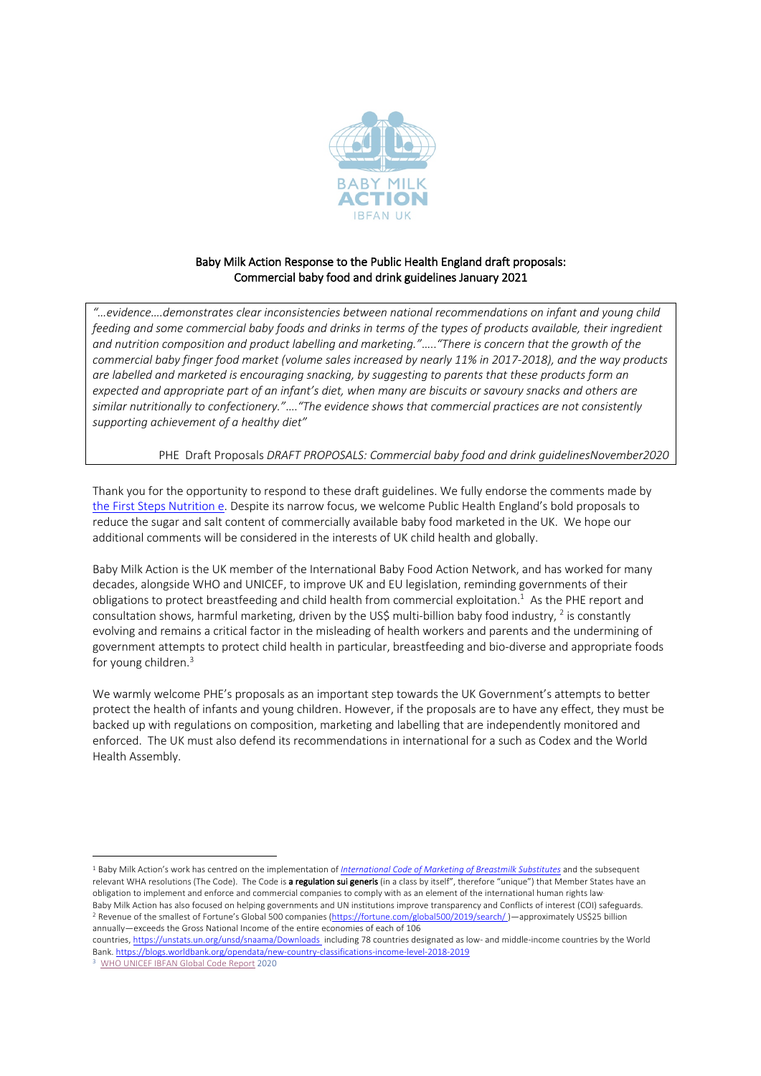

# Baby Milk Action Response to the Public Health England draft proposals: Commercial baby food and drink guidelines January 2021

*"…evidence….demonstrates clear inconsistencies between national recommendations on infant and young child feeding and some commercial baby foods and drinks in terms of the types of products available, their ingredient and nutrition composition and product labelling and marketing."*…..*"There is concern that the growth of the commercial baby finger food market (volume sales increased by nearly 11% in 2017-2018), and the way products are labelled and marketed is encouraging snacking, by suggesting to parents that these products form an expected and appropriate part of an infant's diet, when many are biscuits or savoury snacks and others are similar nutritionally to confectionery."*….*"The evidence shows that commercial practices are not consistently supporting achievement of a healthy diet"*

### PHE Draft Proposals *DRAFT PROPOSALS: Commercial baby food and drink guidelinesNovember2020*

Thank you for the opportunity to respond to these draft guidelines. We fully endorse the comments made by the First Steps Nutrition e. Despite its narrow focus, we welcome Public Health England's bold proposals to reduce the sugar and salt content of commercially available baby food marketed in the UK. We hope our additional comments will be considered in the interests of UK child health and globally.

Baby Milk Action is the UK member of the International Baby Food Action Network, and has worked for many decades, alongside WHO and UNICEF, to improve UK and EU legislation, reminding governments of their obligations to protect breastfeeding and child health from commercial exploitation.<sup>1</sup> As the PHE report and consultation shows, harmful marketing, driven by the US\$ multi-billion baby food industry, <sup>2</sup> is constantly evolving and remains a critical factor in the misleading of health workers and parents and the undermining of government attempts to protect child health in particular, breastfeeding and bio-diverse and appropriate foods for young children.<sup>3</sup>

We warmly welcome PHE's proposals as an important step towards the UK Government's attempts to better protect the health of infants and young children. However, if the proposals are to have any effect, they must be backed up with regulations on composition, marketing and labelling that are independently monitored and enforced. The UK must also defend its recommendations in international for a such as Codex and the World Health Assembly.

<sup>1</sup> Baby Milk Action's work has centred on the implementation of *International Code of Marketing of Breastmilk Substitutes* and the subsequent relevant WHA resolutions (The Code). The Code is a regulation sui generis (in a class by itself", therefore "unique") that Member States have an obligation to implement and enforce and commercial companies to comply with as an element of the international human rights law. Baby Milk Action has also focused on helping governments and UN institutions improve transparency and Conflicts of interest (COI) safeguards.<br><sup>2</sup> Revenue of the smallest of Fortune's Global 500 companies (https://fortune.c annually—exceeds the Gross National Income of the entire economies of each of 106

countries, https://unstats.un.org/unsd/snaama/Downloads including 78 countries designated as low- and middle-income countries by the World Bank. https://blogs.worldbank.org/opendata/new-country-classifications-income-level-2018-2019

WHO UNICEF IBFAN Global Code Report 2020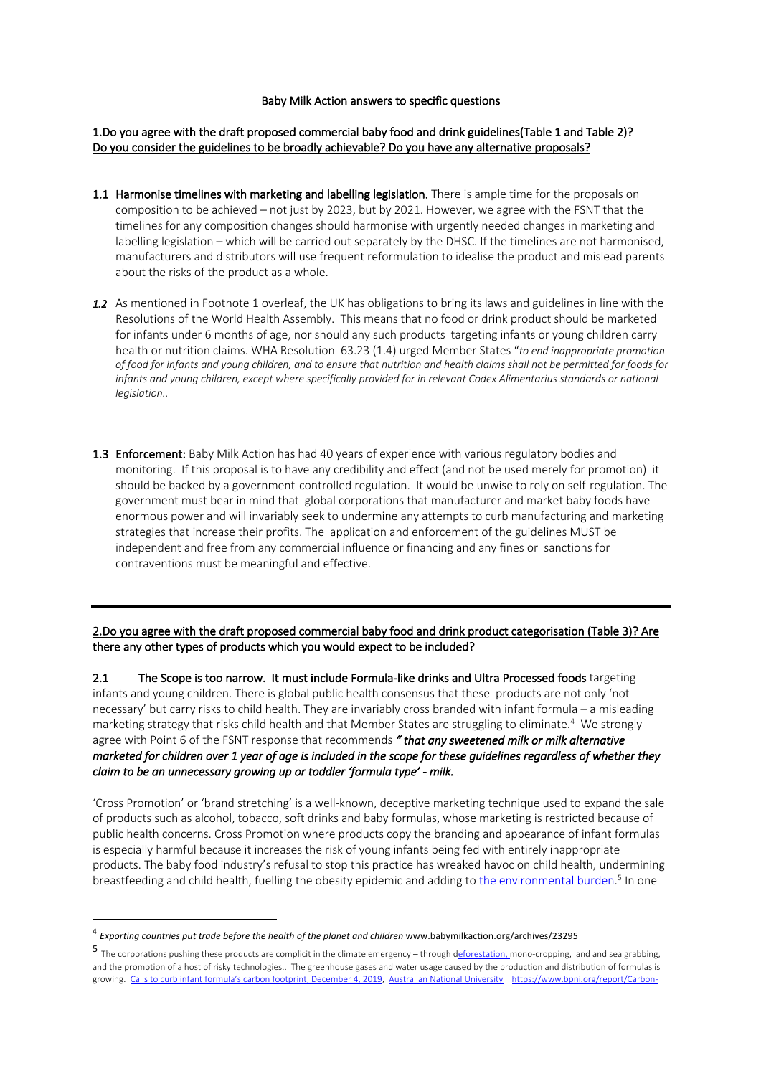#### Baby Milk Action answers to specific questions

### 1.Do you agree with the draft proposed commercial baby food and drink guidelines(Table 1 and Table 2)? Do you consider the guidelines to be broadly achievable? Do you have any alternative proposals?

- 1.1 Harmonise timelines with marketing and labelling legislation. There is ample time for the proposals on composition to be achieved – not just by 2023, but by 2021. However, we agree with the FSNT that the timelines for any composition changes should harmonise with urgently needed changes in marketing and labelling legislation – which will be carried out separately by the DHSC. If the timelines are not harmonised, manufacturers and distributors will use frequent reformulation to idealise the product and mislead parents about the risks of the product as a whole.
- *1.2* As mentioned in Footnote 1 overleaf, the UK has obligations to bring its laws and guidelines in line with the Resolutions of the World Health Assembly. This means that no food or drink product should be marketed for infants under 6 months of age, nor should any such products targeting infants or young children carry health or nutrition claims. WHA Resolution 63.23 (1.4) urged Member States "*to end inappropriate promotion of food for infants and young children, and to ensure that nutrition and health claims shall not be permitted for foods for*  infants and young children, except where specifically provided for in relevant Codex Alimentarius standards or national *legislation..*
- 1.3 Enforcement: Baby Milk Action has had 40 years of experience with various regulatory bodies and monitoring. If this proposal is to have any credibility and effect (and not be used merely for promotion) it should be backed by a government-controlled regulation. It would be unwise to rely on self-regulation. The government must bear in mind that global corporations that manufacturer and market baby foods have enormous power and will invariably seek to undermine any attempts to curb manufacturing and marketing strategies that increase their profits. The application and enforcement of the guidelines MUST be independent and free from any commercial influence or financing and any fines or sanctions for contraventions must be meaningful and effective.

2.Do you agree with the draft proposed commercial baby food and drink product categorisation (Table 3)? Are there any other types of products which you would expect to be included?

2.1 The Scope is too narrow. It must include Formula-like drinks and Ultra Processed foods targeting infants and young children. There is global public health consensus that these products are not only 'not necessary' but carry risks to child health. They are invariably cross branded with infant formula – a misleading marketing strategy that risks child health and that Member States are struggling to eliminate.4 We strongly agree with Point 6 of the FSNT response that recommends *" that any sweetened milk or milk alternative marketed for children over 1 year of age is included in the scope for these guidelines regardless of whether they claim to be an unnecessary growing up or toddler 'formula type' - milk.* 

'Cross Promotion' or 'brand stretching' is a well-known, deceptive marketing technique used to expand the sale of products such as alcohol, tobacco, soft drinks and baby formulas, whose marketing is restricted because of public health concerns. Cross Promotion where products copy the branding and appearance of infant formulas is especially harmful because it increases the risk of young infants being fed with entirely inappropriate products. The baby food industry's refusal to stop this practice has wreaked havoc on child health, undermining breastfeeding and child health, fuelling the obesity epidemic and adding to <u>the environmental burden.</u><sup>5</sup> In one

<sup>4</sup> *Exporting countries put trade before the health of the planet and children* www.babymilkaction.org/archives/23295

<sup>5</sup> The corporations pushing these products are complicit in the climate emergency – through deforestation, mono-cropping, land and sea grabbing, and the promotion of a host of risky technologies.. The greenhouse gases and water usage caused by the production and distribution of formulas is growing. Calls to curb infant formula's carbon footprint, December 4, 2019, Australian National University https://www.bpni.org/report/Carbon-